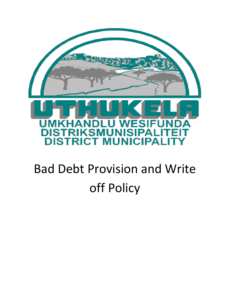

# Bad Debt Provision and Write off Policy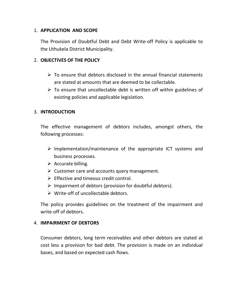#### 1. **APPLICATION AND SCOPE**

The Provision of Doubtful Debt and Debt Write-off Policy is applicable to the Uthukela District Municipality.

# 2. **OBJECTIVES OF THE POLICY**

- $\triangleright$  To ensure that debtors disclosed in the annual financial statements are stated at amounts that are deemed to be collectable.
- $\triangleright$  To ensure that uncollectable debt is written off within guidelines of existing policies and applicable legislation.

#### 3. **INTRODUCTION**

The effective management of debtors includes, amongst others, the following processes:

- $\triangleright$  Implementation/maintenance of the appropriate ICT systems and business processes.
- $\triangleright$  Accurate billing.
- $\triangleright$  Customer care and accounts query management.
- $\triangleright$  Effective and timeous credit control.
- $\triangleright$  Impairment of debtors (provision for doubtful debtors).
- $\triangleright$  Write-off of uncollectable debtors.

The policy provides guidelines on the treatment of the impairment and write-off of debtors.

#### 4. **IMPAIRMENT OF DEBTORS**

Consumer debtors, long term receivables and other debtors are stated at cost less a provision for bad debt. The provision is made on an individual bases, and based on expected cash flows.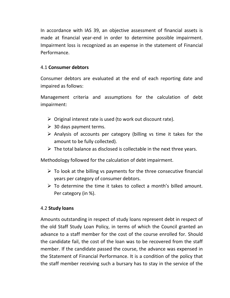In accordance with IAS 39, an objective assessment of financial assets is made at financial year-end in order to determine possible impairment. Impairment loss is recognized as an expense in the statement of Financial Performance.

# 4.1 **Consumer debtors**

Consumer debtors are evaluated at the end of each reporting date and impaired as follows:

Management criteria and assumptions for the calculation of debt impairment:

- $\triangleright$  Original interest rate is used (to work out discount rate).
- $\geqslant$  30 days payment terms.
- $\triangleright$  Analysis of accounts per category (billing vs time it takes for the amount to be fully collected).
- $\triangleright$  The total balance as disclosed is collectable in the next three years.

Methodology followed for the calculation of debt impairment.

- $\triangleright$  To look at the billing vs payments for the three consecutive financial years per category of consumer debtors.
- $\triangleright$  To determine the time it takes to collect a month's billed amount. Per category (in %).

# 4.2 **Study loans**

Amounts outstanding in respect of study loans represent debt in respect of the old Staff Study Loan Policy, in terms of which the Council granted an advance to a staff member for the cost of the course enrolled for. Should the candidate fail, the cost of the loan was to be recovered from the staff member. If the candidate passed the course, the advance was expensed in the Statement of Financial Performance. It is a condition of the policy that the staff member receiving such a bursary has to stay in the service of the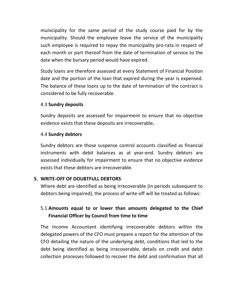municipality for the same period of the study course paid for by the municipality. Should the employee leave the service of the municipality such employee is required to repay the municipality pro-rata in respect of each month or part thereof from the date of termination of service to the date when the bursary period would have expired.

Study loans are therefore assessed at every Statement of Financial Position date and the portion of the loan that expired during the year is expensed. The balance of these loans up to the date of termination of the contract is considered to be fully recoverable.

# 4.3 **Sundry deposits**

Sundry deposits are assessed for impairment to ensure that no objective evidence exists that these deposits are irrecoverable**.**

#### 4.4 **Sundry debtors**

Sundry debtors are those suspense control accounts classified as financial instruments with debit balances as at year-end. Sundry debtors are assessed individually for impairment to ensure that no objective evidence exists that these debtors are irrecoverable.

#### **5. WRITE-OFF OF DOUBTFULL DEBTORS**

Where debt are identified as being irrecoverable (in periods subsequent to debtors being impaired), the process of write-off will be treated as follows:

# 5.1 **Amounts equal to or lower than amounts delegated to the Chief Financial Officer by Council from time to time**

The Income Accountant identifying irrecoverable debtors within the delegated powers of the CFO must prepare a report for the attention of the CFO detailing the nature of the underlying debt, conditions that led to the debt being identified as being irrecoverable, details on credit and debit collection processes followed to recover the debt and confirmation that all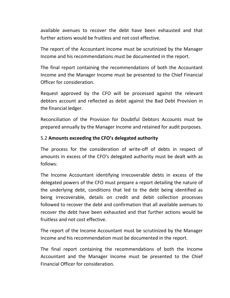available avenues to recover the debt have been exhausted and that further actions would be fruitless and not cost effective.

The report of the Accountant Income must be scrutinized by the Manager Income and his recommendations must be documented in the report.

The final report containing the recommendations of both the Accountant Income and the Manager Income must be presented to the Chief Financial Officer for consideration.

Request approved by the CFO will be processed against the relevant debtors account and reflected as debit against the Bad Debt Provision in the financial ledger.

Reconciliation of the Provision for Doubtful Debtors Accounts must be prepared annually by the Manager Income and retained for audit purposes.

# 5.2 **Amounts exceeding the CFO's delegated authority**

The process for the consideration of write-off of debts in respect of amounts in excess of the CFO's delegated authority must be dealt with as follows:

The Income Accountant identifying irrecoverable debts in excess of the delegated powers of the CFO must prepare a report detailing the nature of the underlying debt, conditions that led to the debt being identified as being irrecoverable, details on credit and debit collection processes followed to recover the debt and confirmation that all available avenues to recover the debt have been exhausted and that further actions would be fruitless and not cost effective.

The report of the Income Accountant must be scrutinized by the Manager Income and his recommendation must be documented in the report.

The final report containing the recommendations of both the Income Accountant and the Manager Income must be presented to the Chief Financial Officer for consideration.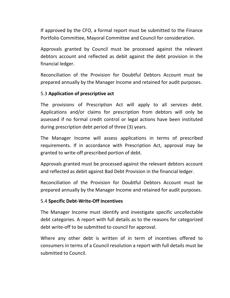If approved by the CFO, a formal report must be submitted to the Finance Portfolio Committee, Mayoral Committee and Council for consideration.

Approvals granted by Council must be processed against the relevant debtors account and reflected as debit against the debt provision in the financial ledger.

Reconciliation of the Provision for Doubtful Debtors Account must be prepared annually by the Manager Income and retained for audit purposes.

# 5.3 **Application of prescriptive act**

The provisions of Prescription Act will apply to all services debt. Applications and/or claims for prescription from debtors will only be assessed if no formal credit control or legal actions have been instituted during prescription debt period of three (3) years.

The Manager Income will assess applications in terms of prescribed requirements. If in accordance with Prescription Act, approval may be granted to write-off prescribed portion of debt.

Approvals granted must be processed against the relevant debtors account and reflected as debit against Bad Debt Provision in the financial ledger.

Reconciliation of the Provision for Doubtful Debtors Account must be prepared annually by the Manager Income and retained for audit purposes.

#### 5.4 **Specific Debt-Write-Off Incentives**

The Manager Income must identify and investigate specific uncollectable debt categories. A report with full details as to the reasons for categorized debt write-off to be submitted to council for approval.

Where any other debt is written of in term of incentives offered to consumers in terms of a Council resolution a report with full details must be submitted to Council.